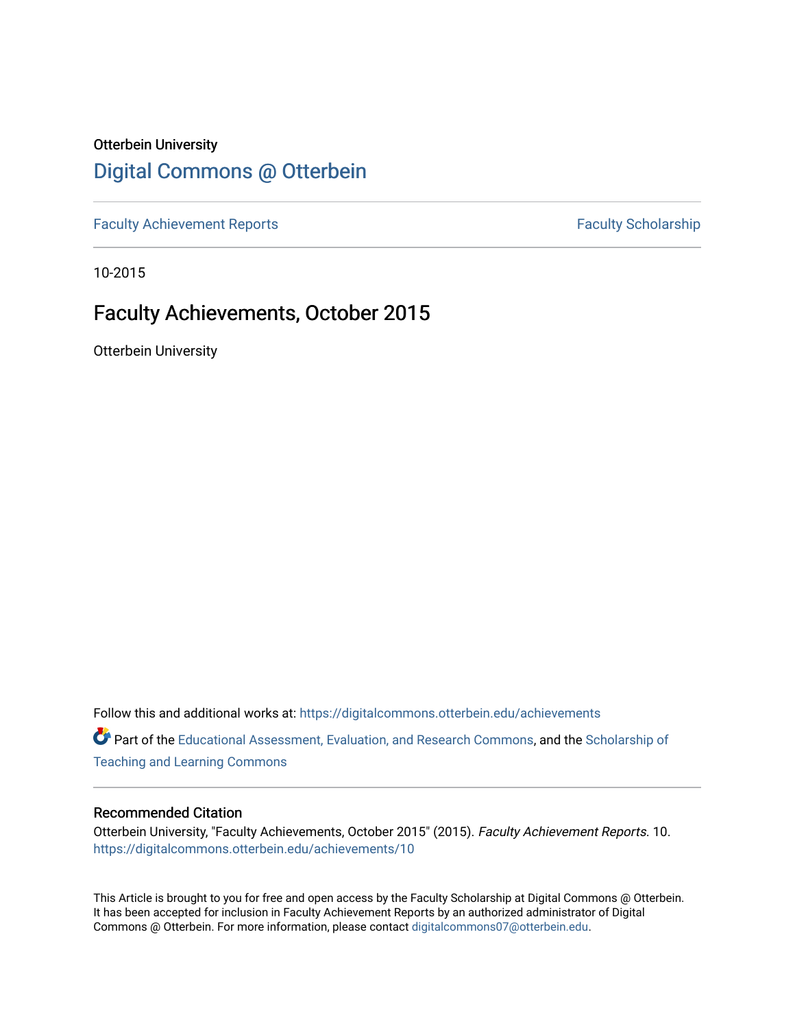# Otterbein University [Digital Commons @ Otterbein](https://digitalcommons.otterbein.edu/)

[Faculty Achievement Reports](https://digitalcommons.otterbein.edu/achievements) **Faculty Scholarship** Faculty Scholarship

10-2015

# Faculty Achievements, October 2015

Otterbein University

Follow this and additional works at: [https://digitalcommons.otterbein.edu/achievements](https://digitalcommons.otterbein.edu/achievements?utm_source=digitalcommons.otterbein.edu%2Fachievements%2F10&utm_medium=PDF&utm_campaign=PDFCoverPages) 

Part of the [Educational Assessment, Evaluation, and Research Commons](http://network.bepress.com/hgg/discipline/796?utm_source=digitalcommons.otterbein.edu%2Fachievements%2F10&utm_medium=PDF&utm_campaign=PDFCoverPages), and the [Scholarship of](http://network.bepress.com/hgg/discipline/1328?utm_source=digitalcommons.otterbein.edu%2Fachievements%2F10&utm_medium=PDF&utm_campaign=PDFCoverPages) [Teaching and Learning Commons](http://network.bepress.com/hgg/discipline/1328?utm_source=digitalcommons.otterbein.edu%2Fachievements%2F10&utm_medium=PDF&utm_campaign=PDFCoverPages)

#### Recommended Citation

Otterbein University, "Faculty Achievements, October 2015" (2015). Faculty Achievement Reports. 10. [https://digitalcommons.otterbein.edu/achievements/10](https://digitalcommons.otterbein.edu/achievements/10?utm_source=digitalcommons.otterbein.edu%2Fachievements%2F10&utm_medium=PDF&utm_campaign=PDFCoverPages)

This Article is brought to you for free and open access by the Faculty Scholarship at Digital Commons @ Otterbein. It has been accepted for inclusion in Faculty Achievement Reports by an authorized administrator of Digital Commons @ Otterbein. For more information, please contact [digitalcommons07@otterbein.edu](mailto:digitalcommons07@otterbein.edu).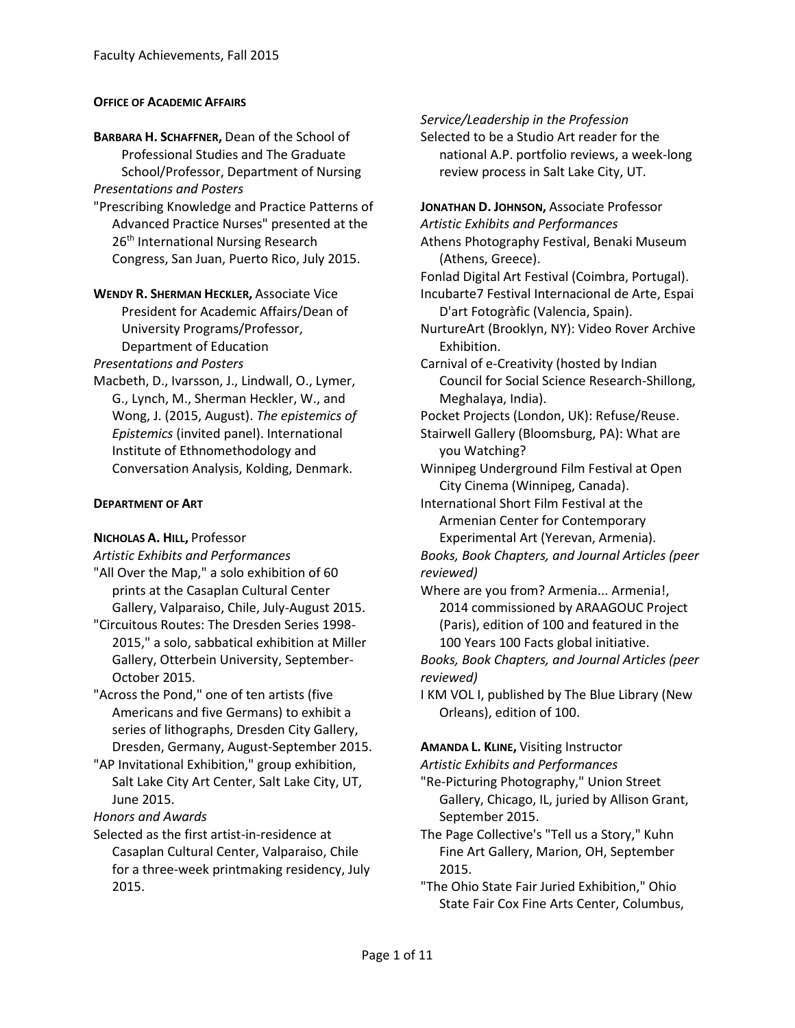#### **OFFICE OF ACADEMIC AFFAIRS**

**BARBARA H. SCHAFFNER,** Dean of the School of Professional Studies and The Graduate School/Professor, Department of Nursing *Presentations and Posters*

"Prescribing Knowledge and Practice Patterns of Advanced Practice Nurses" presented at the 26<sup>th</sup> International Nursing Research Congress, San Juan, Puerto Rico, July 2015.

**WENDY R. SHERMAN HECKLER,** Associate Vice President for Academic Affairs/Dean of University Programs/Professor, Department of Education

*Presentations and Posters*

Macbeth, D., Ivarsson, J., Lindwall, O., Lymer, G., Lynch, M., Sherman Heckler, W., and Wong, J. (2015, August). *The epistemics of Epistemics* (invited panel). International Institute of Ethnomethodology and Conversation Analysis, Kolding, Denmark.

#### **DEPARTMENT OF ART**

#### **NICHOLAS A. HILL,** Professor

*Artistic Exhibits and Performances*

"All Over the Map," a solo exhibition of 60 prints at the Casaplan Cultural Center Gallery, Valparaiso, Chile, July-August 2015.

"Circuitous Routes: The Dresden Series 1998- 2015," a solo, sabbatical exhibition at Miller Gallery, Otterbein University, September-October 2015.

"Across the Pond," one of ten artists (five Americans and five Germans) to exhibit a series of lithographs, Dresden City Gallery, Dresden, Germany, August-September 2015.

"AP Invitational Exhibition," group exhibition, Salt Lake City Art Center, Salt Lake City, UT, June 2015.

*Honors and Awards*

Selected as the first artist-in-residence at Casaplan Cultural Center, Valparaiso, Chile for a three-week printmaking residency, July 2015.

*Service/Leadership in the Profession*

Selected to be a Studio Art reader for the national A.P. portfolio reviews, a week-long review process in Salt Lake City, UT.

**JONATHAN D. JOHNSON,** Associate Professor *Artistic Exhibits and Performances* Athens Photography Festival, Benaki Museum (Athens, Greece). Fonlad Digital Art Festival (Coimbra, Portugal). Incubarte7 Festival Internacional de Arte, Espai D'art Fotogràfic (Valencia, Spain). NurtureArt (Brooklyn, NY): Video Rover Archive Exhibition. Carnival of e-Creativity (hosted by Indian Council for Social Science Research-Shillong, Meghalaya, India). Pocket Projects (London, UK): Refuse/Reuse. Stairwell Gallery (Bloomsburg, PA): What are you Watching? Winnipeg Underground Film Festival at Open City Cinema (Winnipeg, Canada). International Short Film Festival at the Armenian Center for Contemporary Experimental Art (Yerevan, Armenia). *Books, Book Chapters, and Journal Articles (peer* 

*reviewed)* Where are you from? Armenia... Armenia!, 2014 commissioned by ARAAGOUC Project (Paris), edition of 100 and featured in the

100 Years 100 Facts global initiative. *Books, Book Chapters, and Journal Articles (peer reviewed)*

I KM VOL I, published by The Blue Library (New Orleans), edition of 100.

**AMANDA L. KLINE,** Visiting Instructor

*Artistic Exhibits and Performances*

- "Re-Picturing Photography," Union Street Gallery, Chicago, IL, juried by Allison Grant, September 2015.
- The Page Collective's "Tell us a Story," Kuhn Fine Art Gallery, Marion, OH, September 2015.

"The Ohio State Fair Juried Exhibition," Ohio State Fair Cox Fine Arts Center, Columbus,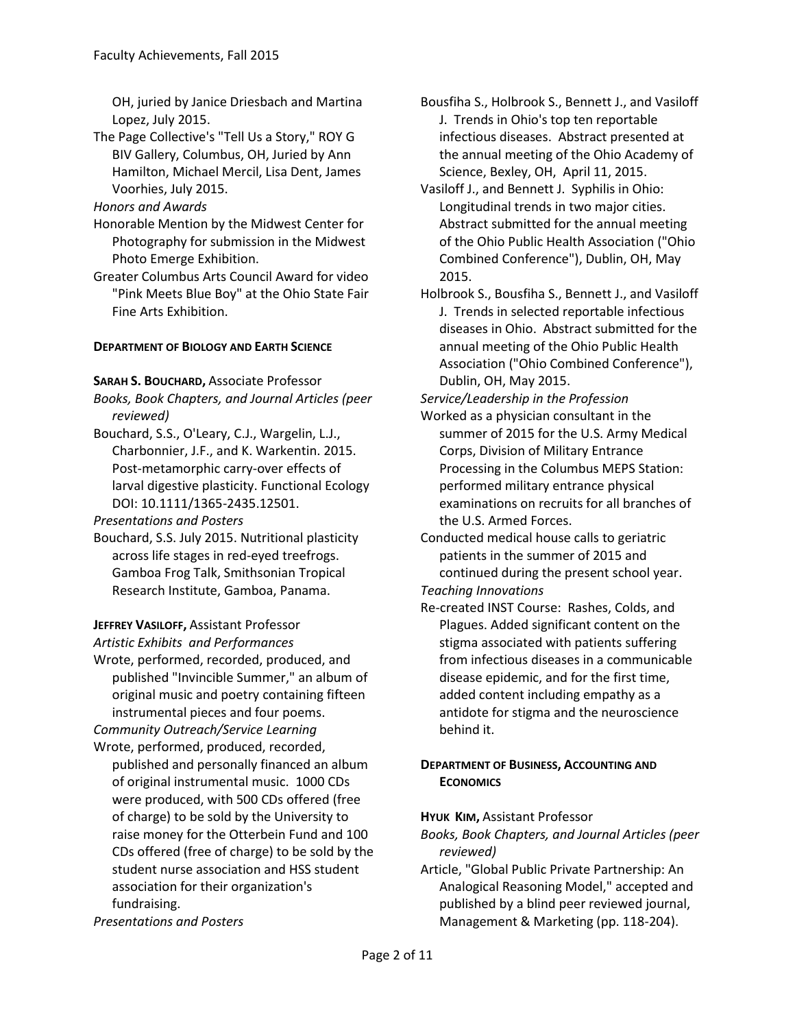OH, juried by Janice Driesbach and Martina Lopez, July 2015.

The Page Collective's "Tell Us a Story," ROY G BIV Gallery, Columbus, OH, Juried by Ann Hamilton, Michael Mercil, Lisa Dent, James Voorhies, July 2015.

*Honors and Awards*

- Honorable Mention by the Midwest Center for Photography for submission in the Midwest Photo Emerge Exhibition.
- Greater Columbus Arts Council Award for video "Pink Meets Blue Boy" at the Ohio State Fair Fine Arts Exhibition.

# **DEPARTMENT OF BIOLOGY AND EARTH SCIENCE**

## **SARAH S. BOUCHARD,** Associate Professor

*Books, Book Chapters, and Journal Articles (peer reviewed)*

Bouchard, S.S., O'Leary, C.J., Wargelin, L.J., Charbonnier, J.F., and K. Warkentin. 2015. Post-metamorphic carry-over effects of larval digestive plasticity. Functional Ecology DOI: 10.1111/1365-2435.12501.

*Presentations and Posters*

Bouchard, S.S. July 2015. Nutritional plasticity across life stages in red-eyed treefrogs. Gamboa Frog Talk, Smithsonian Tropical Research Institute, Gamboa, Panama.

**JEFFREY VASILOFF,** Assistant Professor

*Artistic Exhibits and Performances*

- Wrote, performed, recorded, produced, and published "Invincible Summer," an album of original music and poetry containing fifteen instrumental pieces and four poems.
- *Community Outreach/Service Learning* Wrote, performed, produced, recorded, published and personally financed an album of original instrumental music. 1000 CDs
	- were produced, with 500 CDs offered (free of charge) to be sold by the University to raise money for the Otterbein Fund and 100 CDs offered (free of charge) to be sold by the student nurse association and HSS student association for their organization's fundraising.

*Presentations and Posters*

- Bousfiha S., Holbrook S., Bennett J., and Vasiloff J. Trends in Ohio's top ten reportable infectious diseases. Abstract presented at the annual meeting of the Ohio Academy of Science, Bexley, OH, April 11, 2015.
- Vasiloff J., and Bennett J. Syphilis in Ohio: Longitudinal trends in two major cities. Abstract submitted for the annual meeting of the Ohio Public Health Association ("Ohio Combined Conference"), Dublin, OH, May 2015.

Holbrook S., Bousfiha S., Bennett J., and Vasiloff J. Trends in selected reportable infectious diseases in Ohio. Abstract submitted for the annual meeting of the Ohio Public Health Association ("Ohio Combined Conference"), Dublin, OH, May 2015.

*Service/Leadership in the Profession*

- Worked as a physician consultant in the summer of 2015 for the U.S. Army Medical Corps, Division of Military Entrance Processing in the Columbus MEPS Station: performed military entrance physical examinations on recruits for all branches of the U.S. Armed Forces.
- Conducted medical house calls to geriatric patients in the summer of 2015 and continued during the present school year. *Teaching Innovations*
- Re-created INST Course: Rashes, Colds, and Plagues. Added significant content on the stigma associated with patients suffering from infectious diseases in a communicable disease epidemic, and for the first time, added content including empathy as a antidote for stigma and the neuroscience behind it.

# **DEPARTMENT OF BUSINESS, ACCOUNTING AND ECONOMICS**

## **HYUK KIM,** Assistant Professor

*Books, Book Chapters, and Journal Articles (peer reviewed)*

Article, "Global Public Private Partnership: An Analogical Reasoning Model," accepted and published by a blind peer reviewed journal, Management & Marketing (pp. 118-204).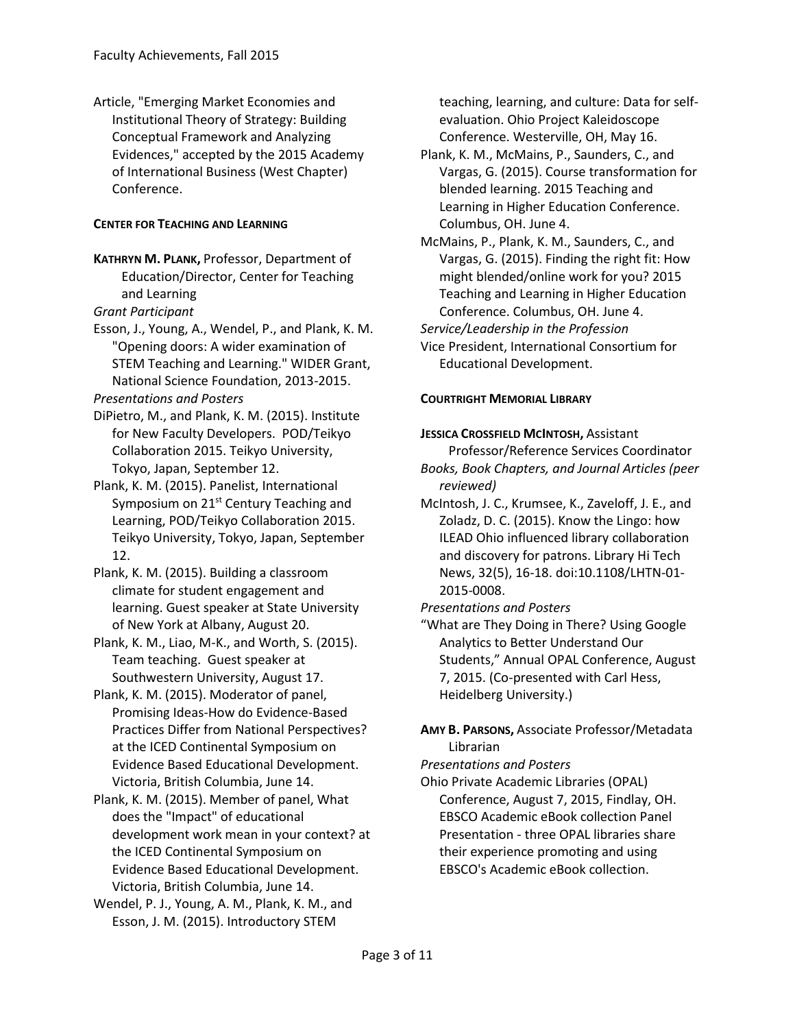Article, "Emerging Market Economies and Institutional Theory of Strategy: Building Conceptual Framework and Analyzing Evidences," accepted by the 2015 Academy of International Business (West Chapter) Conference.

## **CENTER FOR TEACHING AND LEARNING**

**KATHRYN M. PLANK,** Professor, Department of Education/Director, Center for Teaching and Learning

*Grant Participant*

Esson, J., Young, A., Wendel, P., and Plank, K. M. "Opening doors: A wider examination of STEM Teaching and Learning." WIDER Grant, National Science Foundation, 2013-2015.

*Presentations and Posters*

- DiPietro, M., and Plank, K. M. (2015). Institute for New Faculty Developers. POD/Teikyo Collaboration 2015. Teikyo University, Tokyo, Japan, September 12.
- Plank, K. M. (2015). Panelist, International Symposium on 21<sup>st</sup> Century Teaching and Learning, POD/Teikyo Collaboration 2015. Teikyo University, Tokyo, Japan, September 12.
- Plank, K. M. (2015). Building a classroom climate for student engagement and learning. Guest speaker at State University of New York at Albany, August 20.
- Plank, K. M., Liao, M-K., and Worth, S. (2015). Team teaching. Guest speaker at Southwestern University, August 17.
- Plank, K. M. (2015). Moderator of panel, Promising Ideas-How do Evidence-Based Practices Differ from National Perspectives? at the ICED Continental Symposium on Evidence Based Educational Development. Victoria, British Columbia, June 14.
- Plank, K. M. (2015). Member of panel, What does the "Impact" of educational development work mean in your context? at the ICED Continental Symposium on Evidence Based Educational Development. Victoria, British Columbia, June 14.
- Wendel, P. J., Young, A. M., Plank, K. M., and Esson, J. M. (2015). Introductory STEM

teaching, learning, and culture: Data for selfevaluation. Ohio Project Kaleidoscope Conference. Westerville, OH, May 16.

- Plank, K. M., McMains, P., Saunders, C., and Vargas, G. (2015). Course transformation for blended learning. 2015 Teaching and Learning in Higher Education Conference. Columbus, OH. June 4.
- McMains, P., Plank, K. M., Saunders, C., and Vargas, G. (2015). Finding the right fit: How might blended/online work for you? 2015 Teaching and Learning in Higher Education Conference. Columbus, OH. June 4.

*Service/Leadership in the Profession*

Vice President, International Consortium for Educational Development.

#### **COURTRIGHT MEMORIAL LIBRARY**

#### **JESSICA CROSSFIELD MCINTOSH,** Assistant

Professor/Reference Services Coordinator *Books, Book Chapters, and Journal Articles (peer* 

*reviewed)*

McIntosh, J. C., Krumsee, K., Zaveloff, J. E., and Zoladz, D. C. (2015). Know the Lingo: how ILEAD Ohio influenced library collaboration and discovery for patrons. Library Hi Tech News, 32(5), 16-18. doi:10.1108/LHTN-01- 2015-0008.

*Presentations and Posters*

"What are They Doing in There? Using Google Analytics to Better Understand Our Students," Annual OPAL Conference, August 7, 2015. (Co-presented with Carl Hess, Heidelberg University.)

**AMY B. PARSONS,** Associate Professor/Metadata Librarian

*Presentations and Posters*

Ohio Private Academic Libraries (OPAL) Conference, August 7, 2015, Findlay, OH. EBSCO Academic eBook collection Panel Presentation - three OPAL libraries share their experience promoting and using EBSCO's Academic eBook collection.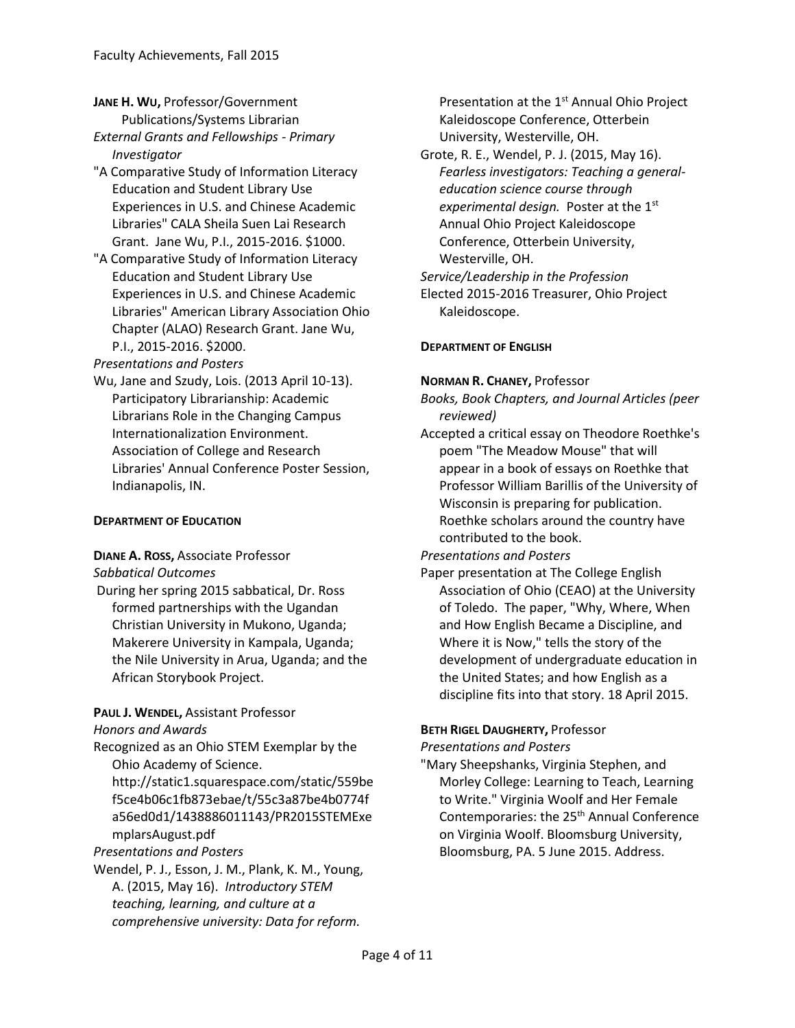- **JANE H. WU,** Professor/Government Publications/Systems Librarian *External Grants and Fellowships - Primary Investigator*
- "A Comparative Study of Information Literacy Education and Student Library Use Experiences in U.S. and Chinese Academic Libraries" CALA Sheila Suen Lai Research Grant. Jane Wu, P.I., 2015-2016. \$1000.
- "A Comparative Study of Information Literacy Education and Student Library Use Experiences in U.S. and Chinese Academic Libraries" American Library Association Ohio Chapter (ALAO) Research Grant. Jane Wu, P.I., 2015-2016. \$2000.

*Presentations and Posters*

Wu, Jane and Szudy, Lois. (2013 April 10-13). Participatory Librarianship: Academic Librarians Role in the Changing Campus Internationalization Environment. Association of College and Research Libraries' Annual Conference Poster Session, Indianapolis, IN.

## **DEPARTMENT OF EDUCATION**

#### **DIANE A. ROSS,** Associate Professor *Sabbatical Outcomes*

During her spring 2015 sabbatical, Dr. Ross formed partnerships with the Ugandan Christian University in Mukono, Uganda; Makerere University in Kampala, Uganda; the Nile University in Arua, Uganda; and the African Storybook Project.

## **PAUL J. WENDEL,** Assistant Professor

*Honors and Awards*

Recognized as an Ohio STEM Exemplar by the Ohio Academy of Science. http://static1.squarespace.com/static/559be f5ce4b06c1fb873ebae/t/55c3a87be4b0774f a56ed0d1/1438886011143/PR2015STEMExe mplarsAugust.pdf *Presentations and Posters*

Wendel, P. J., Esson, J. M., Plank, K. M., Young, A. (2015, May 16). *Introductory STEM teaching, learning, and culture at a comprehensive university: Data for reform.*

Presentation at the 1<sup>st</sup> Annual Ohio Project Kaleidoscope Conference, Otterbein University, Westerville, OH.

Grote, R. E., Wendel, P. J. (2015, May 16). *Fearless investigators: Teaching a generaleducation science course through experimental design.* Poster at the 1st Annual Ohio Project Kaleidoscope Conference, Otterbein University, Westerville, OH. *Service/Leadership in the Profession* Elected 2015-2016 Treasurer, Ohio Project Kaleidoscope.

**DEPARTMENT OF ENGLISH**

## **NORMAN R. CHANEY,** Professor

*Books, Book Chapters, and Journal Articles (peer reviewed)*

Accepted a critical essay on Theodore Roethke's poem "The Meadow Mouse" that will appear in a book of essays on Roethke that Professor William Barillis of the University of Wisconsin is preparing for publication. Roethke scholars around the country have contributed to the book.

## *Presentations and Posters*

Paper presentation at The College English Association of Ohio (CEAO) at the University of Toledo. The paper, "Why, Where, When and How English Became a Discipline, and Where it is Now," tells the story of the development of undergraduate education in the United States; and how English as a discipline fits into that story. 18 April 2015.

## **BETH RIGEL DAUGHERTY,** Professor

*Presentations and Posters*

"Mary Sheepshanks, Virginia Stephen, and Morley College: Learning to Teach, Learning to Write." Virginia Woolf and Her Female Contemporaries: the 25<sup>th</sup> Annual Conference on Virginia Woolf. Bloomsburg University, Bloomsburg, PA. 5 June 2015. Address.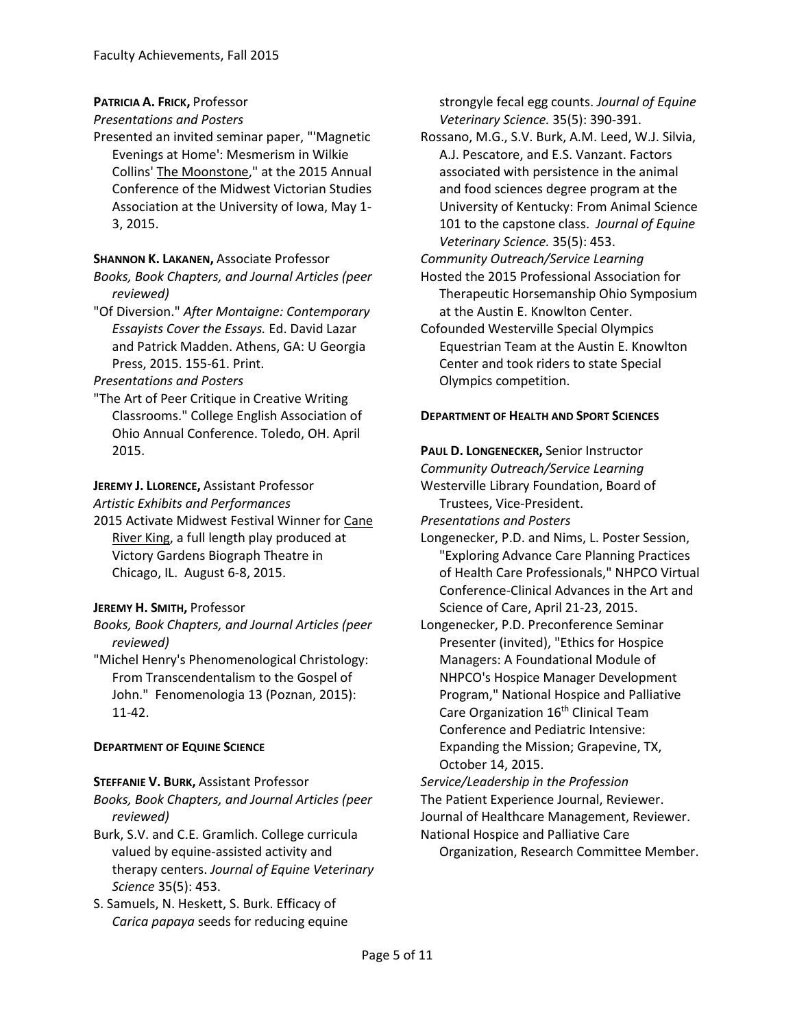## **PATRICIA A. FRICK,** Professor

#### *Presentations and Posters*

Presented an invited seminar paper, "'Magnetic Evenings at Home': Mesmerism in Wilkie Collins' The Moonstone," at the 2015 Annual Conference of the Midwest Victorian Studies Association at the University of Iowa, May 1- 3, 2015.

#### **SHANNON K. LAKANEN,** Associate Professor

- *Books, Book Chapters, and Journal Articles (peer reviewed)*
- "Of Diversion." *After Montaigne: Contemporary Essayists Cover the Essays.* Ed. David Lazar and Patrick Madden. Athens, GA: U Georgia Press, 2015. 155-61. Print.

#### *Presentations and Posters*

"The Art of Peer Critique in Creative Writing Classrooms." College English Association of Ohio Annual Conference. Toledo, OH. April 2015.

## **JEREMY J. LLORENCE,** Assistant Professor

*Artistic Exhibits and Performances*

2015 Activate Midwest Festival Winner for Cane River King, a full length play produced at Victory Gardens Biograph Theatre in Chicago, IL. August 6-8, 2015.

## **JEREMY H. SMITH,** Professor

- *Books, Book Chapters, and Journal Articles (peer reviewed)*
- "Michel Henry's Phenomenological Christology: From Transcendentalism to the Gospel of John." Fenomenologia 13 (Poznan, 2015): 11-42.

## **DEPARTMENT OF EQUINE SCIENCE**

## **STEFFANIE V. BURK,** Assistant Professor

*Books, Book Chapters, and Journal Articles (peer reviewed)*

- Burk, S.V. and C.E. Gramlich. College curricula valued by equine-assisted activity and therapy centers. *Journal of Equine Veterinary Science* 35(5): 453.
- S. Samuels, N. Heskett, S. Burk. Efficacy of *Carica papaya* seeds for reducing equine

strongyle fecal egg counts. *Journal of Equine Veterinary Science.* 35(5): 390-391.

- Rossano, M.G., S.V. Burk, A.M. Leed, W.J. Silvia, A.J. Pescatore, and E.S. Vanzant. Factors associated with persistence in the animal and food sciences degree program at the University of Kentucky: From Animal Science 101 to the capstone class. *Journal of Equine Veterinary Science.* 35(5): 453.
- *Community Outreach/Service Learning*
- Hosted the 2015 Professional Association for Therapeutic Horsemanship Ohio Symposium at the Austin E. Knowlton Center.
- Cofounded Westerville Special Olympics Equestrian Team at the Austin E. Knowlton Center and took riders to state Special Olympics competition.

## **DEPARTMENT OF HEALTH AND SPORT SCIENCES**

**PAUL D. LONGENECKER,** Senior Instructor

*Community Outreach/Service Learning* Westerville Library Foundation, Board of Trustees, Vice-President.

*Presentations and Posters*

- Longenecker, P.D. and Nims, L. Poster Session, "Exploring Advance Care Planning Practices of Health Care Professionals," NHPCO Virtual Conference-Clinical Advances in the Art and Science of Care, April 21-23, 2015.
- Longenecker, P.D. Preconference Seminar Presenter (invited), "Ethics for Hospice Managers: A Foundational Module of NHPCO's Hospice Manager Development Program," National Hospice and Palliative Care Organization 16<sup>th</sup> Clinical Team Conference and Pediatric Intensive: Expanding the Mission; Grapevine, TX, October 14, 2015.
- *Service/Leadership in the Profession* The Patient Experience Journal, Reviewer. Journal of Healthcare Management, Reviewer. National Hospice and Palliative Care
	- Organization, Research Committee Member.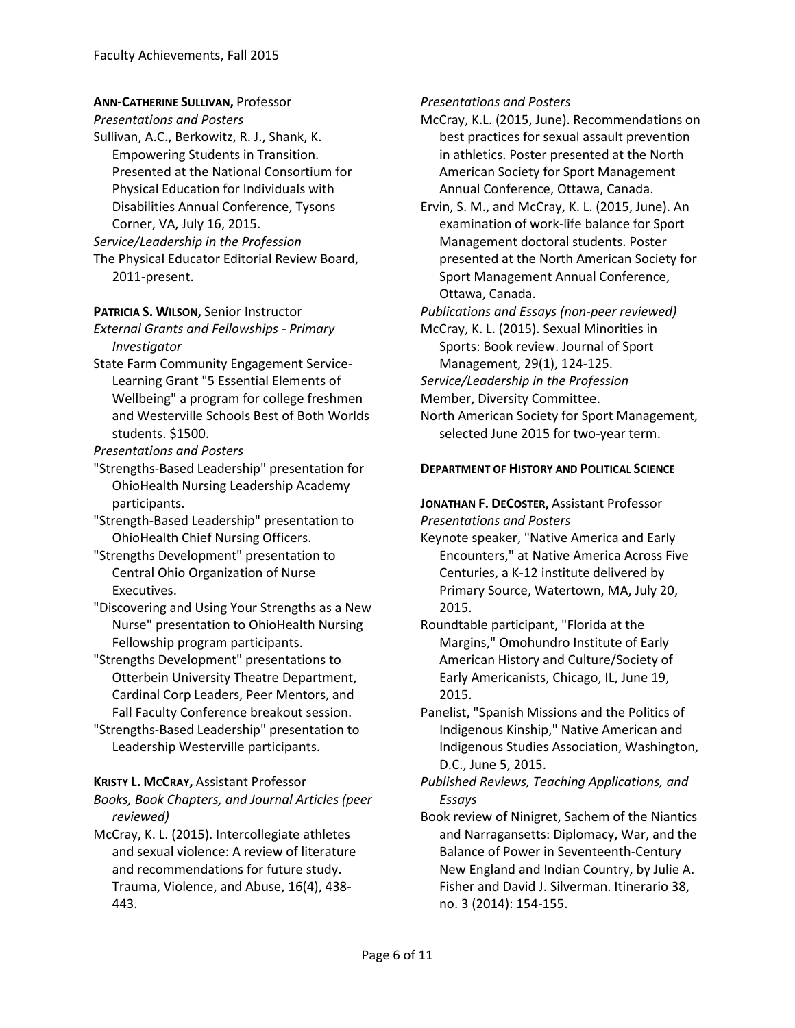# **ANN-CATHERINE SULLIVAN,** Professor

*Presentations and Posters*

- Sullivan, A.C., Berkowitz, R. J., Shank, K. Empowering Students in Transition. Presented at the National Consortium for Physical Education for Individuals with Disabilities Annual Conference, Tysons Corner, VA, July 16, 2015.
- *Service/Leadership in the Profession*
- The Physical Educator Editorial Review Board, 2011-present.

## **PATRICIA S. WILSON,** Senior Instructor

- *External Grants and Fellowships - Primary Investigator*
- State Farm Community Engagement Service-Learning Grant "5 Essential Elements of Wellbeing" a program for college freshmen and Westerville Schools Best of Both Worlds students. \$1500.

*Presentations and Posters*

- "Strengths-Based Leadership" presentation for OhioHealth Nursing Leadership Academy participants.
- "Strength-Based Leadership" presentation to OhioHealth Chief Nursing Officers.
- "Strengths Development" presentation to Central Ohio Organization of Nurse Executives.
- "Discovering and Using Your Strengths as a New Nurse" presentation to OhioHealth Nursing Fellowship program participants.
- "Strengths Development" presentations to Otterbein University Theatre Department, Cardinal Corp Leaders, Peer Mentors, and Fall Faculty Conference breakout session.
- "Strengths-Based Leadership" presentation to Leadership Westerville participants.

# **KRISTY L. MCCRAY,** Assistant Professor

*Books, Book Chapters, and Journal Articles (peer reviewed)*

McCray, K. L. (2015). Intercollegiate athletes and sexual violence: A review of literature and recommendations for future study. Trauma, Violence, and Abuse, 16(4), 438- 443.

*Presentations and Posters*

- McCray, K.L. (2015, June). Recommendations on best practices for sexual assault prevention in athletics. Poster presented at the North American Society for Sport Management Annual Conference, Ottawa, Canada.
- Ervin, S. M., and McCray, K. L. (2015, June). An examination of work-life balance for Sport Management doctoral students. Poster presented at the North American Society for Sport Management Annual Conference, Ottawa, Canada.

*Publications and Essays (non-peer reviewed)*

McCray, K. L. (2015). Sexual Minorities in Sports: Book review. Journal of Sport Management, 29(1), 124-125.

*Service/Leadership in the Profession*

Member, Diversity Committee.

North American Society for Sport Management, selected June 2015 for two-year term.

# **DEPARTMENT OF HISTORY AND POLITICAL SCIENCE**

# **JONATHAN F. DECOSTER,** Assistant Professor *Presentations and Posters*

- Keynote speaker, "Native America and Early Encounters," at Native America Across Five Centuries, a K-12 institute delivered by Primary Source, Watertown, MA, July 20, 2015.
- Roundtable participant, "Florida at the Margins," Omohundro Institute of Early American History and Culture/Society of Early Americanists, Chicago, IL, June 19, 2015.
- Panelist, "Spanish Missions and the Politics of Indigenous Kinship," Native American and Indigenous Studies Association, Washington, D.C., June 5, 2015.
- *Published Reviews, Teaching Applications, and Essays*
- Book review of Ninigret, Sachem of the Niantics and Narragansetts: Diplomacy, War, and the Balance of Power in Seventeenth-Century New England and Indian Country, by Julie A. Fisher and David J. Silverman. Itinerario 38, no. 3 (2014): 154-155.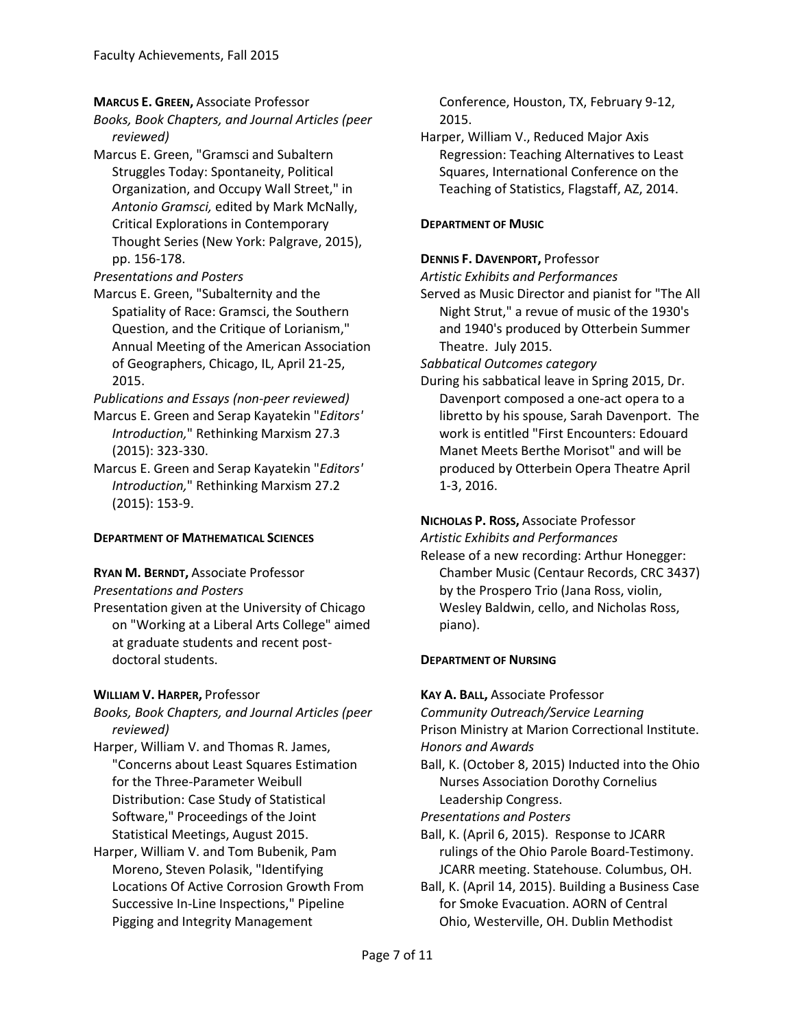**MARCUS E. GREEN,** Associate Professor

*Books, Book Chapters, and Journal Articles (peer reviewed)*

Marcus E. Green, "Gramsci and Subaltern Struggles Today: Spontaneity, Political Organization, and Occupy Wall Street," in *Antonio Gramsci,* edited by Mark McNally, Critical Explorations in Contemporary Thought Series (New York: Palgrave, 2015), pp. 156-178.

*Presentations and Posters*

Marcus E. Green, "Subalternity and the Spatiality of Race: Gramsci, the Southern Question, and the Critique of Lorianism," Annual Meeting of the American Association of Geographers, Chicago, IL, April 21-25, 2015.

*Publications and Essays (non-peer reviewed)*

- Marcus E. Green and Serap Kayatekin "*Editors' Introduction,*" Rethinking Marxism 27.3 (2015): 323-330.
- Marcus E. Green and Serap Kayatekin "*Editors' Introduction,*" Rethinking Marxism 27.2 (2015): 153-9.

# **DEPARTMENT OF MATHEMATICAL SCIENCES**

## **RYAN M. BERNDT,** Associate Professor

## *Presentations and Posters*

Presentation given at the University of Chicago on "Working at a Liberal Arts College" aimed at graduate students and recent postdoctoral students.

# **WILLIAM V. HARPER,** Professor

*Books, Book Chapters, and Journal Articles (peer reviewed)*

- Harper, William V. and Thomas R. James, "Concerns about Least Squares Estimation for the Three-Parameter Weibull Distribution: Case Study of Statistical Software," Proceedings of the Joint Statistical Meetings, August 2015.
- Harper, William V. and Tom Bubenik, Pam Moreno, Steven Polasik, "Identifying Locations Of Active Corrosion Growth From Successive In-Line Inspections," Pipeline Pigging and Integrity Management

Conference, Houston, TX, February 9-12, 2015.

Harper, William V., Reduced Major Axis Regression: Teaching Alternatives to Least Squares, International Conference on the Teaching of Statistics, Flagstaff, AZ, 2014.

# **DEPARTMENT OF MUSIC**

## **DENNIS F. DAVENPORT,** Professor

*Artistic Exhibits and Performances*

Served as Music Director and pianist for "The All Night Strut," a revue of music of the 1930's and 1940's produced by Otterbein Summer Theatre. July 2015.

*Sabbatical Outcomes category*

During his sabbatical leave in Spring 2015, Dr. Davenport composed a one-act opera to a libretto by his spouse, Sarah Davenport. The work is entitled "First Encounters: Edouard Manet Meets Berthe Morisot" and will be produced by Otterbein Opera Theatre April 1-3, 2016.

#### **NICHOLAS P. ROSS,** Associate Professor *Artistic Exhibits and Performances*

Release of a new recording: Arthur Honegger: Chamber Music (Centaur Records, CRC 3437) by the Prospero Trio (Jana Ross, violin, Wesley Baldwin, cello, and Nicholas Ross, piano).

# **DEPARTMENT OF NURSING**

**KAY A. BALL,** Associate Professor

*Community Outreach/Service Learning* Prison Ministry at Marion Correctional Institute. *Honors and Awards*

Ball, K. (October 8, 2015) Inducted into the Ohio Nurses Association Dorothy Cornelius Leadership Congress.

*Presentations and Posters*

- Ball, K. (April 6, 2015). Response to JCARR rulings of the Ohio Parole Board-Testimony. JCARR meeting. Statehouse. Columbus, OH.
- Ball, K. (April 14, 2015). Building a Business Case for Smoke Evacuation. AORN of Central Ohio, Westerville, OH. Dublin Methodist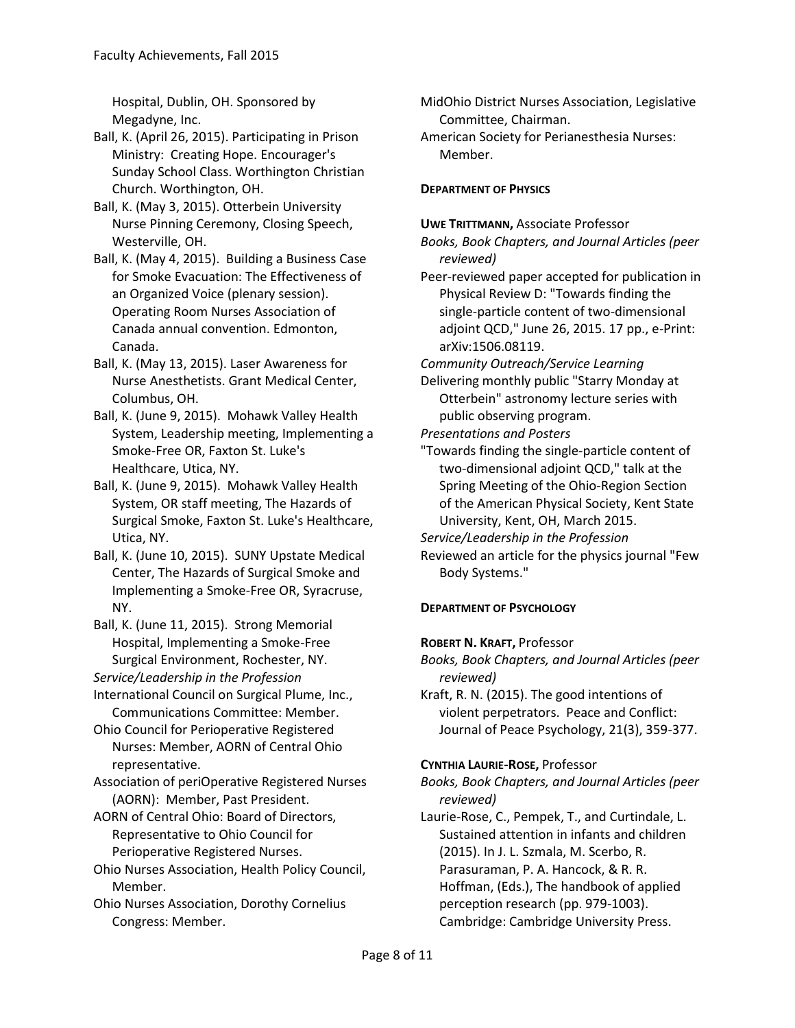Hospital, Dublin, OH. Sponsored by Megadyne, Inc.

Ball, K. (April 26, 2015). Participating in Prison Ministry: Creating Hope. Encourager's Sunday School Class. Worthington Christian Church. Worthington, OH.

Ball, K. (May 3, 2015). Otterbein University Nurse Pinning Ceremony, Closing Speech, Westerville, OH.

Ball, K. (May 4, 2015). Building a Business Case for Smoke Evacuation: The Effectiveness of an Organized Voice (plenary session). Operating Room Nurses Association of Canada annual convention. Edmonton, Canada.

Ball, K. (May 13, 2015). Laser Awareness for Nurse Anesthetists. Grant Medical Center, Columbus, OH.

Ball, K. (June 9, 2015). Mohawk Valley Health System, Leadership meeting, Implementing a Smoke-Free OR, Faxton St. Luke's Healthcare, Utica, NY.

Ball, K. (June 9, 2015). Mohawk Valley Health System, OR staff meeting, The Hazards of Surgical Smoke, Faxton St. Luke's Healthcare, Utica, NY.

Ball, K. (June 10, 2015). SUNY Upstate Medical Center, The Hazards of Surgical Smoke and Implementing a Smoke-Free OR, Syracruse, NY.

Ball, K. (June 11, 2015). Strong Memorial Hospital, Implementing a Smoke-Free Surgical Environment, Rochester, NY.

*Service/Leadership in the Profession*

International Council on Surgical Plume, Inc., Communications Committee: Member.

Ohio Council for Perioperative Registered Nurses: Member, AORN of Central Ohio representative.

Association of periOperative Registered Nurses (AORN): Member, Past President.

AORN of Central Ohio: Board of Directors, Representative to Ohio Council for Perioperative Registered Nurses.

Ohio Nurses Association, Health Policy Council, Member.

Ohio Nurses Association, Dorothy Cornelius Congress: Member.

MidOhio District Nurses Association, Legislative Committee, Chairman.

American Society for Perianesthesia Nurses: Member.

# **DEPARTMENT OF PHYSICS**

**UWE TRITTMANN,** Associate Professor

*Books, Book Chapters, and Journal Articles (peer reviewed)*

Peer-reviewed paper accepted for publication in Physical Review D: "Towards finding the single-particle content of two-dimensional adjoint QCD," June 26, 2015. 17 pp., e-Print: arXiv:1506.08119.

*Community Outreach/Service Learning*

Delivering monthly public "Starry Monday at Otterbein" astronomy lecture series with public observing program.

*Presentations and Posters*

"Towards finding the single-particle content of two-dimensional adjoint QCD," talk at the Spring Meeting of the Ohio-Region Section of the American Physical Society, Kent State University, Kent, OH, March 2015.

*Service/Leadership in the Profession*

Reviewed an article for the physics journal "Few Body Systems."

## **DEPARTMENT OF PSYCHOLOGY**

## **ROBERT N. KRAFT,** Professor

*Books, Book Chapters, and Journal Articles (peer reviewed)*

Kraft, R. N. (2015). The good intentions of violent perpetrators. Peace and Conflict: Journal of Peace Psychology, 21(3), 359-377.

## **CYNTHIA LAURIE-ROSE,** Professor

*Books, Book Chapters, and Journal Articles (peer reviewed)*

Laurie-Rose, C., Pempek, T., and Curtindale, L. Sustained attention in infants and children (2015). In J. L. Szmala, M. Scerbo, R. Parasuraman, P. A. Hancock, & R. R. Hoffman, (Eds.), The handbook of applied perception research (pp. 979-1003). Cambridge: Cambridge University Press.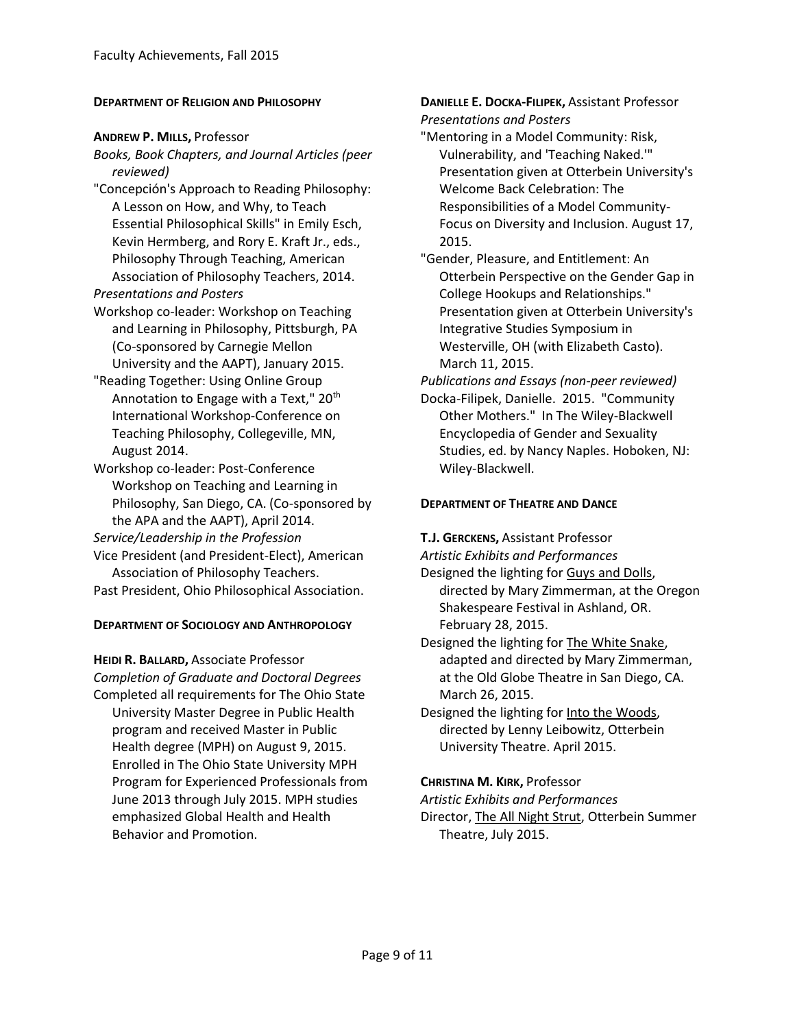#### **DEPARTMENT OF RELIGION AND PHILOSOPHY**

#### **ANDREW P. MILLS,** Professor

- *Books, Book Chapters, and Journal Articles (peer reviewed)*
- "Concepción's Approach to Reading Philosophy: A Lesson on How, and Why, to Teach Essential Philosophical Skills" in Emily Esch, Kevin Hermberg, and Rory E. Kraft Jr., eds., Philosophy Through Teaching, American Association of Philosophy Teachers, 2014. *Presentations and Posters*
- Workshop co-leader: Workshop on Teaching
- and Learning in Philosophy, Pittsburgh, PA (Co-sponsored by Carnegie Mellon University and the AAPT), January 2015.
- "Reading Together: Using Online Group Annotation to Engage with a Text," 20<sup>th</sup> International Workshop-Conference on Teaching Philosophy, Collegeville, MN, August 2014.
- Workshop co-leader: Post-Conference Workshop on Teaching and Learning in Philosophy, San Diego, CA. (Co-sponsored by the APA and the AAPT), April 2014.
- *Service/Leadership in the Profession*
- Vice President (and President-Elect), American Association of Philosophy Teachers. Past President, Ohio Philosophical Association.

## **DEPARTMENT OF SOCIOLOGY AND ANTHROPOLOGY**

**HEIDI R. BALLARD,** Associate Professor *Completion of Graduate and Doctoral Degrees* Completed all requirements for The Ohio State University Master Degree in Public Health program and received Master in Public Health degree (MPH) on August 9, 2015. Enrolled in The Ohio State University MPH Program for Experienced Professionals from June 2013 through July 2015. MPH studies emphasized Global Health and Health Behavior and Promotion.

**DANIELLE E. DOCKA-FILIPEK,** Assistant Professor *Presentations and Posters*

- "Mentoring in a Model Community: Risk, Vulnerability, and 'Teaching Naked.'" Presentation given at Otterbein University's Welcome Back Celebration: The Responsibilities of a Model Community-Focus on Diversity and Inclusion. August 17, 2015.
- "Gender, Pleasure, and Entitlement: An Otterbein Perspective on the Gender Gap in College Hookups and Relationships." Presentation given at Otterbein University's Integrative Studies Symposium in Westerville, OH (with Elizabeth Casto). March 11, 2015.
- *Publications and Essays (non-peer reviewed)*
- Docka-Filipek, Danielle. 2015. "Community Other Mothers." In The Wiley-Blackwell Encyclopedia of Gender and Sexuality Studies, ed. by Nancy Naples. Hoboken, NJ: Wiley-Blackwell.

#### **DEPARTMENT OF THEATRE AND DANCE**

**T.J. GERCKENS,** Assistant Professor

*Artistic Exhibits and Performances*

- Designed the lighting for Guys and Dolls, directed by Mary Zimmerman, at the Oregon Shakespeare Festival in Ashland, OR. February 28, 2015.
- Designed the lighting for The White Snake, adapted and directed by Mary Zimmerman, at the Old Globe Theatre in San Diego, CA. March 26, 2015.
- Designed the lighting for Into the Woods, directed by Lenny Leibowitz, Otterbein University Theatre. April 2015.

## **CHRISTINA M. KIRK,** Professor

*Artistic Exhibits and Performances*

Director, The All Night Strut, Otterbein Summer Theatre, July 2015.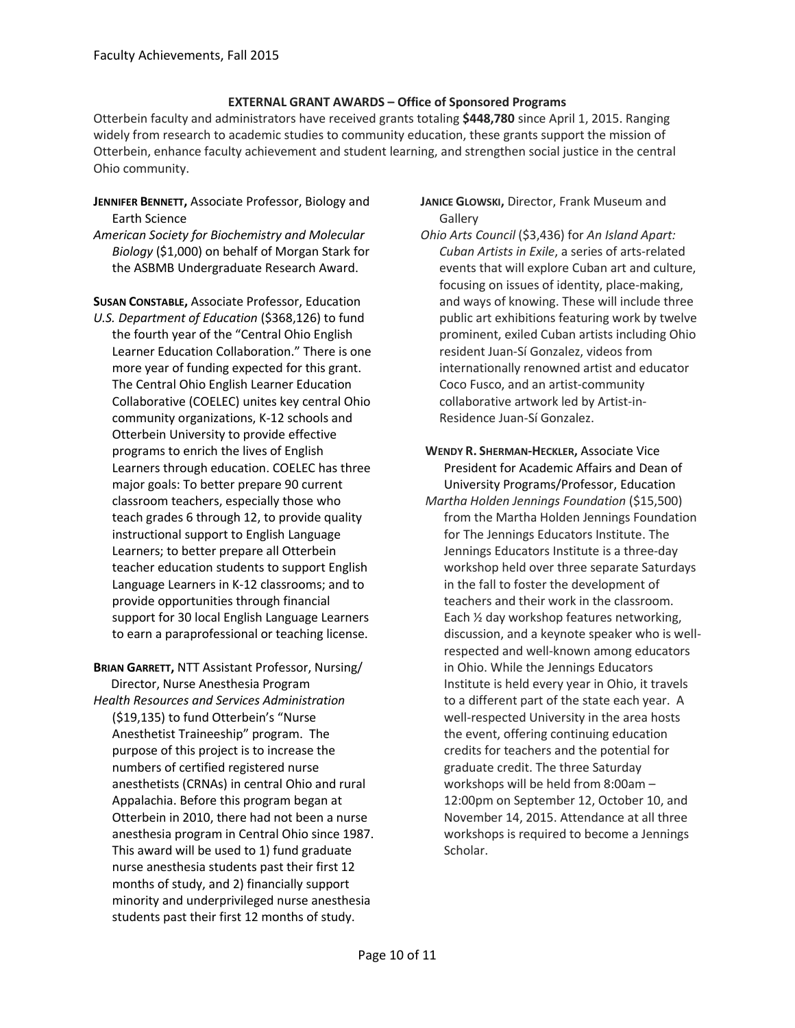#### **EXTERNAL GRANT AWARDS – Office of Sponsored Programs**

Otterbein faculty and administrators have received grants totaling **\$448,780** since April 1, 2015. Ranging widely from research to academic studies to community education, these grants support the mission of Otterbein, enhance faculty achievement and student learning, and strengthen social justice in the central Ohio community.

- **JENNIFER BENNETT,** Associate Professor, Biology and Earth Science
- *American Society for Biochemistry and Molecular Biology* (\$1,000) on behalf of Morgan Stark for the ASBMB Undergraduate Research Award.

**SUSAN CONSTABLE,** Associate Professor, Education

- *U.S. Department of Education* (\$368,126) to fund the fourth year of the "Central Ohio English Learner Education Collaboration." There is one more year of funding expected for this grant. The Central Ohio English Learner Education Collaborative (COELEC) unites key central Ohio community organizations, K-12 schools and Otterbein University to provide effective programs to enrich the lives of English Learners through education. COELEC has three major goals: To better prepare 90 current classroom teachers, especially those who teach grades 6 through 12, to provide quality instructional support to English Language Learners; to better prepare all Otterbein teacher education students to support English Language Learners in K-12 classrooms; and to provide opportunities through financial support for 30 local English Language Learners to earn a paraprofessional or teaching license.
- **BRIAN GARRETT,** NTT Assistant Professor, Nursing/ Director, Nurse Anesthesia Program *Health Resources and Services Administration* (\$19,135) to fund Otterbein's "Nurse Anesthetist Traineeship" program.The purpose of this project is to increase the numbers of certified registered nurse anesthetists (CRNAs) in central Ohio and rural Appalachia. Before this program began at Otterbein in 2010, there had not been a nurse anesthesia program in Central Ohio since 1987. This award will be used to 1) fund graduate nurse anesthesia students past their first 12 months of study, and 2) financially support minority and underprivileged nurse anesthesia students past their first 12 months of study.

#### **JANICE GLOWSKI,** Director, Frank Museum and **Gallerv**

- *Ohio Arts Council* (\$3,436) for *An Island Apart: Cuban Artists in Exile*, a series of arts-related events that will explore Cuban art and culture, focusing on issues of identity, place-making, and ways of knowing. These will include three public art exhibitions featuring work by twelve prominent, exiled Cuban artists including Ohio resident Juan-Sí Gonzalez, videos from internationally renowned artist and educator Coco Fusco, and an artist-community collaborative artwork led by Artist-in-Residence Juan-Sí Gonzalez.
- **WENDY R. SHERMAN-HECKLER,** Associate Vice President for Academic Affairs and Dean of University Programs/Professor, Education
- *Martha Holden Jennings Foundation* (\$15,500) from the Martha Holden Jennings Foundation for The Jennings Educators Institute. The Jennings Educators Institute is a three-day workshop held over three separate Saturdays in the fall to foster the development of teachers and their work in the classroom. Each ½ day workshop features networking, discussion, and a keynote speaker who is wellrespected and well-known among educators in Ohio. While the Jennings Educators Institute is held every year in Ohio, it travels to a different part of the state each year. A well-respected University in the area hosts the event, offering continuing education credits for teachers and the potential for graduate credit. The three Saturday workshops will be held from 8:00am – 12:00pm on September 12, October 10, and November 14, 2015. Attendance at all three workshops is required to become a Jennings Scholar.